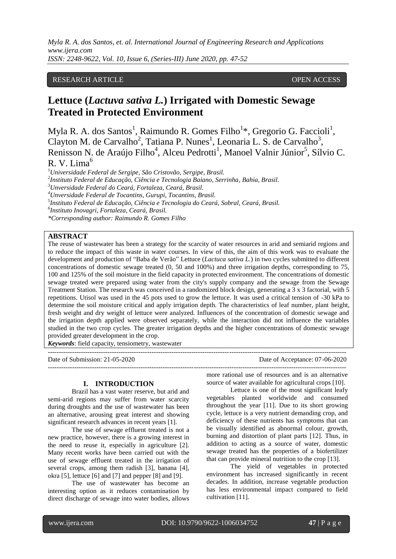*Myla R. A. dos Santos, et. al. International Journal of Engineering Research and Applications www.ijera.com ISSN: 2248-9622, Vol. 10, Issue 6, (Series-III) June 2020, pp. 47-52*

# RESEARCH ARTICLE OPEN ACCESS

# **Lettuce (***Lactuva sativa L.***) Irrigated with Domestic Sewage Treated in Protected Environment**

Myla R. A. dos Santos<sup>1</sup>, Raimundo R. Gomes Filho<sup>1\*</sup>, Gregorio G. Faccioli<sup>1</sup>, Clayton M. de Carvalho<sup>2</sup>, Tatiana P. Nunes<sup>1</sup>, Leonaria L. S. de Carvalho<sup>3</sup>, Renisson N. de Araújo Filho<sup>4</sup>, Alceu Pedrotti<sup>1</sup>, Manoel Valnir Júnior<sup>5</sup>, Sílvio C.  $R. V. Lima<sup>6</sup>$ 

<sup>1</sup>*Universidade Federal de Sergipe, São Cristovão, Sergipe, Brasil.*

*2 Instituto Federal de Educação, Ciência e Tecnologia Baiano, Serrinha, Bahia, Brasil.*

*<sup>3</sup>Unversidade Federal do Ceará, Fortaleza, Ceará, Brasil.*

*<sup>4</sup>Unversidade Federal de Tocantins, Gurupi, Tocantins, Brasil.*

5 *Instituto Federal de Educação, Ciência e Tecnologia do Ceará, Sobral, Ceará, Brasil.*

 $-1.1$ 

*6 Instituto Inovagri, Fortaleza, Ceará, Brasil.*

*\*Corresponding author: Raimundo R. Gomes Filho*

# **ABSTRACT**

The reuse of wastewater has been a strategy for the scarcity of water resources in arid and semiarid regions and to reduce the impact of this waste in water courses. In view of this, the aim of this work was to evaluate the development and production of "Baba de Verão" Lettuce (*Lactuca sativa L.*) in two cycles submitted to different concentrations of domestic sewage treated (0, 50 and 100%) and three irrigation depths, corresponding to 75, 100 and 125% of the soil moisture in the field capacity in protected environment. The concentrations of domestic sewage treated were prepared using water from the city's supply company and the sewage from the Sewage Treatment Station. The research was conceived in a randomized block design, generating a 3 x 3 factorial, with 5 repetitions. Utisol was used in the 45 pots used to grow the lettuce. It was used a critical tension of -30 kPa to determine the soil moisture critical and apply irrigation depth. The characteristics of leaf number, plant height, fresh weight and dry weight of lettuce were analyzed. Influences of the concentration of domestic sewage and the irrigation depth applied were observed separately, while the interaction did not influence the variables studied in the two crop cycles. The greater irrigation depths and the higher concentrations of domestic sewage provided greater development in the crop.

---------------------------------------------------------------------------------------------------------------------------------------

*Keywords*: field capacity, tensiometry, wastewater

Date of Submission: 21-05-2020 Date of Acceptance: 07-06-2020

#### **I. INTRODUCTION**

Brazil has a vast water reserve, but arid and semi-arid regions may suffer from water scarcity during droughts and the use of wastewater has been an alternative, arousing great interest and showing significant research advances in recent years [1].

The use of sewage effluent treated is not a new practice, however, there is a growing interest in the need to reuse it, especially in agriculture [2]. Many recent works have been carried out with the use of sewage effluent treated in the irrigation of several crops, among them radish [3], banana [4], okra [5], lettuce [6] and [7] and pepper [8] and [9].

The use of wastewater has become an interesting option as it reduces contamination by direct discharge of sewage into water bodies, allows

more rational use of resources and is an alternative source of water available for agricultural crops [10].

Lettuce is one of the most significant leafy vegetables planted worldwide and consumed throughout the year [11]. Due to its short growing cycle, lettuce is a very nutrient demanding crop, and deficiency of these nutrients has symptoms that can be visually identified as abnormal colour, growth, burning and distortion of plant parts [12]. Thus, in addition to acting as a source of water, domestic sewage treated has the properties of a biofertilizer that can provide mineral nutrition to the crop [13].

The yield of vegetables in protected environment has increased significantly in recent decades. In addition, increase vegetable production has less environmental impact compared to field cultivation [11].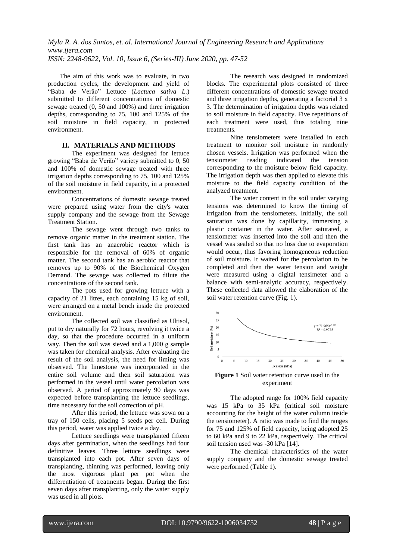The aim of this work was to evaluate, in two production cycles, the development and yield of "Baba de Verão" Lettuce (*Lactuca sativa L.*) submitted to different concentrations of domestic sewage treated (0, 50 and 100%) and three irrigation depths, corresponding to 75, 100 and 125% of the soil moisture in field capacity, in protected environment.

## **II. MATERIALS AND METHODS**

The experiment was designed for lettuce growing "Baba de Verão" variety submitted to 0, 50 and 100% of domestic sewage treated with three irrigation depths corresponding to 75, 100 and 125% of the soil moisture in field capacity, in a protected environment.

Concentrations of domestic sewage treated were prepared using water from the city's water supply company and the sewage from the Sewage Treatment Station.

The sewage went through two tanks to remove organic matter in the treatment station. The first tank has an anaerobic reactor which is responsible for the removal of 60% of organic matter. The second tank has an aerobic reactor that removes up to 90% of the Biochemical Oxygen Demand. The sewage was collected to dilute the concentrations of the second tank.

The pots used for growing lettuce with a capacity of 21 litres, each containing 15 kg of soil, were arranged on a metal bench inside the protected environment.

The collected soil was classified as Ultisol, put to dry naturally for 72 hours, revolving it twice a day, so that the procedure occurred in a uniform way. Then the soil was sieved and a 1,000 g sample was taken for chemical analysis. After evaluating the result of the soil analysis, the need for liming was observed. The limestone was incorporated in the entire soil volume and then soil saturation was performed in the vessel until water percolation was observed. A period of approximately 90 days was expected before transplanting the lettuce seedlings, time necessary for the soil correction of pH.

After this period, the lettuce was sown on a tray of 150 cells, placing 5 seeds per cell. During this period, water was applied twice a day.

Lettuce seedlings were transplanted fifteen days after germination, when the seedlings had four definitive leaves. Three lettuce seedlings were transplanted into each pot. After seven days of transplanting, thinning was performed, leaving only the most vigorous plant per pot when the differentiation of treatments began. During the first seven days after transplanting, only the water supply was used in all plots.

The research was designed in randomized blocks. The experimental plots consisted of three different concentrations of domestic sewage treated and three irrigation depths, generating a factorial 3 x 3. The determination of irrigation depths was related to soil moisture in field capacity. Five repetitions of each treatment were used, thus totaling nine treatments.

Nine tensiometers were installed in each treatment to monitor soil moisture in randomly chosen vessels. Irrigation was performed when the tensiometer reading indicated the tension corresponding to the moisture below field capacity. The irrigation depth was then applied to elevate this moisture to the field capacity condition of the analyzed treatment.

The water content in the soil under varying tensions was determined to know the timing of irrigation from the tensiometers. Initially, the soil saturation was done by capillarity, immersing a plastic container in the water. After saturated, a tensiometer was inserted into the soil and then the vessel was sealed so that no loss due to evaporation would occur, thus favoring homogeneous reduction of soil moisture. It waited for the percolation to be completed and then the water tension and weight were measured using a digital tensimeter and a balance with semi-analytic accuracy, respectively. These collected data allowed the elaboration of the soil water retention curve (Fig. 1).



**Figure 1** Soil water retention curve used in the experiment

The adopted range for 100% field capacity was 15 kPa to 35 kPa (critical soil moisture accounting for the height of the water column inside the tensiometer). A ratio was made to find the ranges for 75 and 125% of field capacity, being adopted 25 to 60 kPa and 9 to 22 kPa, respectively. The critical soil tension used was -30 kPa [14].

The chemical characteristics of the water supply company and the domestic sewage treated were performed (Table 1).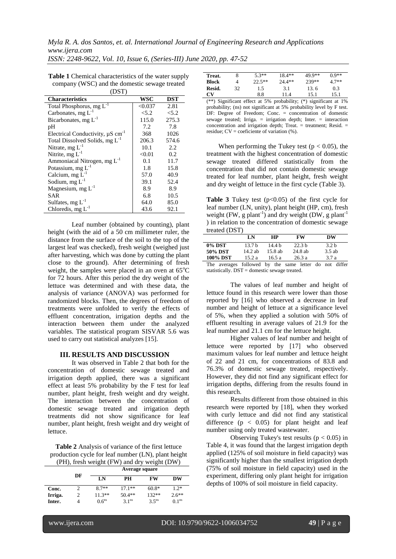*Myla R. A. dos Santos, et. al. International Journal of Engineering Research and Applications www.ijera.com*

*ISSN: 2248-9622, Vol. 10, Issue 6, (Series-III) June 2020, pp. 47-52*

| \ L J J I J                                       |         |            |
|---------------------------------------------------|---------|------------|
| <b>Characteristics</b>                            | WSC     | <b>DST</b> |
| Total Phosphorus, mg L <sup>-1</sup>              | < 0.037 | 2.81       |
| Carbonates, mg $L^{-1}$                           | < 5.2   | < 5.2      |
| Bicarbonates, mg $L^{-1}$                         | 115.0   | 275.3      |
| pH                                                | 7.2     | 7.8        |
| Electrical Conductivity, $\mu$ S cm <sup>-1</sup> | 368     | 1026       |
| Total Dissolved Solids, mg L <sup>-1</sup>        | 206.3   | 574.6      |
| Nitrate, $mg L^{-1}$                              | 10.1    | 2.2        |
| Nitrite, $mg L^{-1}$                              | < 0.01  | 0.2        |
| Ammoniacal Nitrogen, mg L <sup>-1</sup>           | 0.1     | 11.7       |
| Potassium, mg $L^{-1}$                            | 1.8     | 15.8       |
| Calcium, mg $L^{-1}$                              | 57.0    | 40.9       |
| Sodium, mg $L^{-1}$                               | 39.1    | 52.4       |
| Magnesium, mg $L^{-1}$                            | 8.9     | 8.9        |
| <b>SAR</b>                                        | 6.8     | 10.5       |
| Sulfates, $mg L^{-1}$                             | 64.0    | 85.0       |
| Chloredis, mg $L^{-1}$                            | 43.6    | 92.1       |

**Table 1** Chemical characteristics of the water supply company (WSC) and the domestic sewage treated  $($ DST $)$ 

Leaf number (obtained by counting), plant height (with the aid of a 50 cm millimeter ruler, the distance from the surface of the soil to the top of the largest leaf was checked), fresh weight (weighed just after harvesting, which was done by cutting the plant close to the ground). After determining of fresh weight, the samples were placed in an oven at  $65^{\circ}$ C for 72 hours. After this period the dry weight of the lettuce was determined and with these data, the analysis of variance (ANOVA) was performed for randomized blocks. Then, the degrees of freedom of treatments were unfolded to verify the effects of effluent concentration, irrigation depths and the interaction between them under the analyzed variables. The statistical program SISVAR 5.6 was used to carry out statistical analyzes [15].

### **III. RESULTS AND DISCUSSION**

It was observed in Table 2 that both for the concentration of domestic sewage treated and irrigation depth applied, there was a significant effect at least 5% probability by the F test for leaf number, plant height, fresh weight and dry weight. The interaction between the concentration of domestic sewage treated and irrigation depth treatments did not show significance for leaf number, plant height, fresh weight and dry weight of lettuce.

**Table 2** Analysis of variance of the first lettuce production cycle for leaf number (LN), plant height (PH), fresh weight (FW) and dry weight (DW)

|         | Average square |                   |                   |                     |                   |
|---------|----------------|-------------------|-------------------|---------------------|-------------------|
|         | DF             | LN                | PН                | <b>FW</b>           | DW                |
| Conc.   |                | $8.7**$           | $17.1**$          | $60.8*$             | $1.2*$            |
| Irriga. |                | $11.3**$          | $50.4**$          | $132**$             | $2.6***$          |
| Inter.  |                | 0.6 <sup>ns</sup> | 3.1 <sup>ns</sup> | $3.5$ <sup>ns</sup> | 0.1 <sup>ns</sup> |

| Treat.       |    | $5.3**$                                                                                                                                                                                                                                                                                                                                   | $18.4**$                                                 | 49.9**  | $0.9**$ |
|--------------|----|-------------------------------------------------------------------------------------------------------------------------------------------------------------------------------------------------------------------------------------------------------------------------------------------------------------------------------------------|----------------------------------------------------------|---------|---------|
| <b>Block</b> | 4  | $22.5**$                                                                                                                                                                                                                                                                                                                                  | $24.4**$                                                 | $239**$ | $4.7**$ |
| Resid.       | 32 | 1.5                                                                                                                                                                                                                                                                                                                                       | 3.1                                                      | 13.6    | 0.3     |
| CV           |    | 8.8                                                                                                                                                                                                                                                                                                                                       | 11.4                                                     | 15.1    | 15.1    |
|              |    | $\mathcal{L} \oplus \mathcal{L}$ $\mathbb{C}$ $\mathbb{C}$ $\mathbb{C}$ $\mathbb{C}$ $\mathbb{C}$ $\mathbb{C}$ $\mathbb{C}$ $\mathbb{C}$ $\mathbb{C}$ $\mathbb{C}$ $\mathbb{C}$ $\mathbb{C}$ $\mathbb{C}$ $\mathbb{C}$ $\mathbb{C}$ $\mathbb{C}$ $\mathbb{C}$ $\mathbb{C}$ $\mathbb{C}$ $\mathbb{C}$ $\mathbb{C}$ $\mathbb{C}$ $\mathbb{$ | $\ldots$ 1. 1.11 $\ldots$ (*) $\ldots$ $\ldots$ $\ldots$ |         |         |

(\*\*) Significant effect at 5% probability; (\*) significant at 1% probability; (ns) not significant at 5% probability level by F test. DF: Degree of Freedom; Conc. = concentration of domestic sewage treated; Irriga. = irrigation depth; Inter. = interaction concentration and irrigation depth; Treat. = treatment; Resid. = residue;  $CV =$  coeficiente of variation  $(%$ .

When performing the Tukey test ( $p < 0.05$ ), the treatment with the highest concentration of domestic sewage treated differed statistically from the concentration that did not contain domestic sewage treated for leaf number, plant height, fresh weight and dry weight of lettuce in the first cycle (Table 3).

**Table 3** Tukey test  $(p<0.05)$  of the first cycle for leaf number (LN, unity), plant height (HP, cm), fresh weight (FW, g plant<sup>-1</sup>) and dry weight (DW, g plant<sup>-1</sup>) ) in relation to the concentration of domestic sewage treated (DST)

|                | LN                | HР        | <b>FW</b>         | DW               |
|----------------|-------------------|-----------|-------------------|------------------|
| 0% DST         | 13.7 <sub>b</sub> | 14 4 h    | 22.3 <sub>b</sub> | 3.2 <sub>b</sub> |
| <b>50% DST</b> | 14.2 ab           | $15.8$ ab | $24.8$ ab         | 3.5 ab           |
| 100% DST       | 15.2a             | 16.5 a    | 26.3a             | 3.7 a            |
| $- - -$        | .                 |           | __                | $\cdots$         |

The averages followed by the same letter do not differ statistically. DST = domestic sewage treated.

The values of leaf number and height of lettuce found in this research were lower than those reported by [16] who observed a decrease in leaf number and height of lettuce at a significance level of 5%, when they applied a solution with 50% of effluent resulting in average values of 21.9 for the leaf number and 21.1 cm for the lettuce height.

Higher values of leaf number and height of lettuce were reported by [17] who observed maximum values for leaf number and lettuce height of 22 and 21 cm, for concentrations of 83.8 and 76.3% of domestic sewage treated, respectively. However, they did not find any significant effect for irrigation depths, differing from the results found in this research.

Results different from those obtained in this research were reported by [18], when they worked with curly lettuce and did not find any statistical difference  $(p < 0.05)$  for plant height and leaf number using only treated wastewater.

Observing Tukey's test results ( $p < 0.05$ ) in Table 4, it was found that the largest irrigation depth applied (125% of soil moisture in field capacity) was significantly higher than the smallest irrigation depth (75% of soil moisture in field capacity) used in the experiment, differing only plant height for irrigation depths of 100% of soil moisture in field capacity.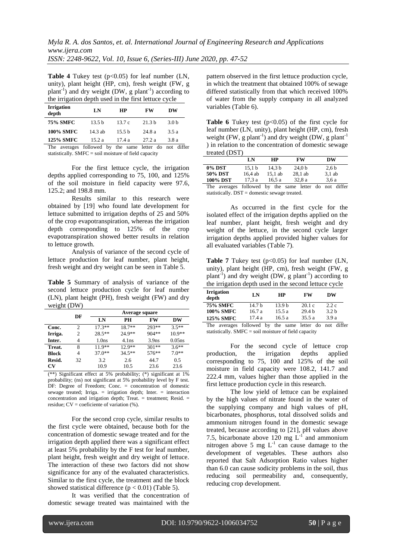*Myla R. A. dos Santos, et. al. International Journal of Engineering Research and Applications www.ijera.com ISSN: 2248-9622, Vol. 10, Issue 6, (Series-III) June 2020, pp. 47-52*

**Table 4** Tukey test (p<0.05) for leaf number (LN, unity), plant height (HP, cm), fresh weight (FW, g plant<sup>-1</sup>) and dry weight (DW, g plant<sup>-1</sup>) according to the irrigation depth used in the first lettuce cycle

| <b>Irrigation</b><br>depth | LN                                                 | HP                | <b>FW</b>         | DW               |
|----------------------------|----------------------------------------------------|-------------------|-------------------|------------------|
| <b>75% SMFC</b>            | 13.5 <sub>b</sub>                                  | 13.7c             | 21.3 <sub>b</sub> | 3.0 <sub>b</sub> |
| <b>100% SMFC</b>           | $14.3$ ab                                          | 15.5 <sub>b</sub> | 24.8a             | 3.5a             |
| <b>125% SMFC</b>           | 15.2 a                                             | 17.4a             | 27.2a             | 3.8 a            |
| The                        | averages followed by the same letter do not differ |                   |                   |                  |

statistically.  $SMFC = soil moisture of field capacity$ 

For the first lettuce cycle, the irrigation depths applied corresponding to 75, 100, and 125% of the soil moisture in field capacity were 97.6, 125.2; and 198.8 mm.

Results similar to this research were obtained by [19] who found late development for lettuce submitted to irrigation depths of 25 and 50% of the crop evapotranspiration, whereas the irrigation depth corresponding to 125% of the crop evapotranspiration showed better results in relation to lettuce growth.

Analysis of variance of the second cycle of lettuce production for leaf number, plant height, fresh weight and dry weight can be seen in Table 5.

**Table 5** Summary of analysis of variance of the second lettuce production cycle for leaf number (LN), plant height (PH), fresh weight (FW) and dry weight (DW)

|              |    | Average square    |          |                   |           |
|--------------|----|-------------------|----------|-------------------|-----------|
|              | DF | LN                | PН       | FW                | DW        |
| Conc.        | 2  | $17.3**$          | $18.7**$ | 293**             | $3.5**$   |
| Irriga.      | 2  | $28.5***$         | 24.9**   | $904**$           | $10.9**$  |
| Inter.       | 4  | 1.0 <sub>ns</sub> | 4.1ns    | 3.9 <sub>ns</sub> | $0.05$ ns |
| Treat.       | 8  | $11.9**$          | $12.9**$ | $301**$           | $3.6**$   |
| <b>Block</b> | 4  | $37.0**$          | $34.5**$ | $576***$          | $7.0**$   |
| Resid.       | 32 | 3.2               | 2.6      | 44.7              | 0.5       |
| CV           |    | 10.9              | 10.5     | 23.6              | 23.6      |

(\*\*) Significant effect at 5% probability; (\*) significant at 1% probability; (ns) not significant at 5% probability level by F test. DF: Degree of Freedom; Conc. = concentration of domestic sewage treated; Irriga. = irrigation depth; Inter. = interaction concentration and irrigation depth; Treat. = treatment; Resid. = residue;  $CV = \text{coeficiente of variation } (\%)$ .

For the second crop cycle, similar results to the first cycle were obtained, because both for the concentration of domestic sewage treated and for the irrigation depth applied there was a significant effect at least 5% probability by the F test for leaf number, plant height, fresh weight and dry weight of lettuce. The interaction of these two factors did not show significance for any of the evaluated characteristics. Similar to the first cycle, the treatment and the block showed statistical difference  $(p < 0.01)$  (Table 5).

It was verified that the concentration of domestic sewage treated was maintained with the

pattern observed in the first lettuce production cycle, in which the treatment that obtained 100% of sewage differed statistically from that which received 100% of water from the supply company in all analyzed variables (Table 6).

**Table 6** Tukey test (p<0.05) of the first cycle for leaf number (LN, unity), plant height (HP, cm), fresh weight (FW, g plant<sup>-1</sup>) and dry weight (DW, g plant<sup>-1</sup>) ) in relation to the concentration of domestic sewage treated (DST)

|                              | LN                | HP                | FW                 | DW     |
|------------------------------|-------------------|-------------------|--------------------|--------|
| 0% DST                       | 15.1 <sub>b</sub> | 14.3 <sub>b</sub> | 24.0 <sub>b</sub>  | 2,6 b  |
| 50% DST                      | 16.4 ab           | 15.1 ab           | $28.1$ ab          | 3.1ab  |
| 100% DST                     | 17.3 a            | 16.5 a            | 32.8a              | 3.6 a  |
| The averages followed by the |                   |                   | same letter do not | differ |

followed by the same letter do not differ statistically. DST = domestic sewage treated.

As occurred in the first cycle for the isolated effect of the irrigation depths applied on the leaf number, plant height, fresh weight and dry weight of the lettuce, in the second cycle larger irrigation depths applied provided higher values for all evaluated variables (Table 7).

**Table 7** Tukey test  $(p<0.05)$  for leaf number  $(LN,$ unity), plant height (HP, cm), fresh weight (FW, g plant<sup>-1</sup>) and dry weight (DW, g plant<sup>-1</sup>) according to the irrigation depth used in the second lettuce cycle

| <b>Irrigation</b><br>depth | LN                     | HP                | <b>FW</b>         | DW               |
|----------------------------|------------------------|-------------------|-------------------|------------------|
| <b>75% SMFC</b>            | 14.7 <sub>b</sub>      | 13.9 <sub>b</sub> | 20.1c             | 2.2c             |
| <b>100% SMFC</b>           | 16.7 a                 | 15.5a             | 29.4 <sub>b</sub> | 3.2 <sub>b</sub> |
| <b>125% SMFC</b>           | 17.4a                  | 16.5 a            | 35.5a             | 3.9a             |
| <b>COMPOS</b>              | 0.11<br>$\blacksquare$ | $\cdot$ 1         | $\sim$            | 1.00<br>. .      |

The averages followed by the same letter do not differ statistically. SMFC = soil moisture of field capacity

For the second cycle of lettuce crop production, the irrigation depths applied corresponding to 75, 100 and 125% of the soil moisture in field capacity were 108.2, 141.7 and 222.4 mm, values higher than those applied in the first lettuce production cycle in this research.

The low yield of lettuce can be explained by the high values of nitrate found in the water of the supplying company and high values of pH, bicarbonates, phosphorus, total dissolved solids and ammonium nitrogen found in the domestic sewage treated, because according to [21], pH values above 7.5, bicarbonate above 120 mg  $L^{-1}$  and ammonium nitrogen above 5 mg  $L^{-1}$  can cause damage to the development of vegetables. These authors also reported that Salt Adsorption Ratio values higher than 6.0 can cause sodicity problems in the soil, thus reducing soil permeability and, consequently, reducing crop development.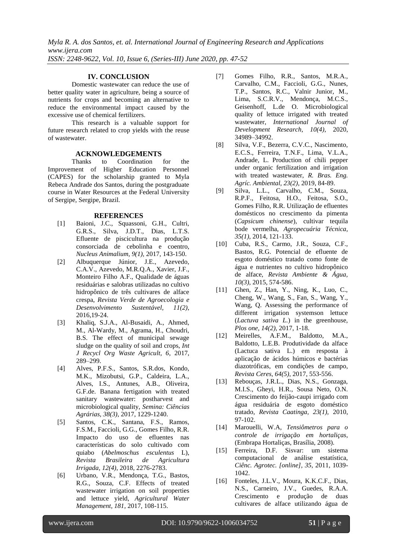*Myla R. A. dos Santos, et. al. International Journal of Engineering Research and Applications www.ijera.com ISSN: 2248-9622, Vol. 10, Issue 6, (Series-III) June 2020, pp. 47-52*

## **IV. CONCLUSION**

Domestic wastewater can reduce the use of better quality water in agriculture, being a source of nutrients for crops and becoming an alternative to reduce the environmental impact caused by the excessive use of chemical fertilizers.

This research is a valuable support for future research related to crop yields with the reuse of wastewater.

#### **ACKNOWLEDGEMENTS**

Thanks to Coordination for the Improvement of Higher Education Personnel (CAPES) for the scholarship granted to Myla Rebeca Andrade dos Santos, during the postgraduate course in Water Resources at the Federal University of Sergipe, Sergipe, Brazil.

#### **REFERENCES**

- [1] Baioni, J.C., Squassoni, G.H., Cultri, G.R.S., Silva, J.D.T., Dias, L.T.S. Efluente de piscicultura na produção consorciada de cebolinha e coentro, *Nucleus Animalium, 9(1),* 2017, 143-150.
- [2] Albuquerque Júnior, J.E., Azevedo, C.A.V., Azevedo, M.R.Q.A., Xavier, J.F., Monteiro Filho A.F., Qualidade de águas residuárias e salobras utilizadas no cultivo hidropônico de três cultivares de alface crespa, *Revista Verde de Agroecologia e Desenvolvimento Sustentável, 11(2)*, 2016,19-24.
- [3] Khaliq, S.J.A., Al-Busaidi, A., Ahmed, M., Al-Wardy, M., Agrama, H., Choudri, B.S. The effect of municipal sewage sludge on the quality of soil and crops, *Int J Recycl Org Waste Agricult, 6*, 2017, 289–299.
- [4] Alves, P.F.S., Santos, S.R.dos, Kondo, M.K., Mizobutsi, G.P., Caldeira, L.A., Alves, I.S., Antunes, A.B., Oliveira, G.F.de. Banana fertigation with treated sanitary wastewater: postharvest and microbiological quality, *Semina: Ciências Agrárias, 38(3)*, 2017, 1229-1240.
- [5] Santos, C.K., Santana, F.S., Ramos, F.S.M., Faccioli, G.G., Gomes Filho, R.R. Impacto do uso de efluentes nas características do solo cultivado com quiabo (*Abelmoschus esculentus* L), *Revista Brasileira de Agricultura Irrigada, 12(4)*, 2018, 2276-2783.
- [6] Urbano, V.R., Mendonça, T.G., Bastos, R.G., Souza, C.F. Effects of treated wastewater irrigation on soil properties and lettuce yield, *Agricultural Water Management, 181,* 2017, 108-115.
- [7] Gomes Filho, R.R., Santos, M.R.A., Carvalho, C.M., Faccioli, G.G., Nunes, T.P., Santos, R.C., Valnir Junior, M., Lima, S.C.R.V., Mendonça, M.C.S., Geisenhoff, L.de O. Microbiological quality of lettuce irrigated with treated wastewater, *International Journal of Development Research, 10(4)*, 2020, 34989–34992.
- [8] Silva, V.F., Bezerra, C.V.C., Nascimento, E.C.S., Ferreira, T.N.F., Lima, V.L.A., Andrade, L. Production of chili pepper under organic fertilization and irrigation with treated wastewater, *R. Bras. Eng. Agríc. Ambiental, 23(2)*, 2019, 84-89.
- [9] Silva, L.L., Carvalho, C.M., Souza, R.P.F., Feitosa, H.O., Feitosa, S.O., Gomes Filho, R.R. Utilização de efluentes domésticos no crescimento da pimenta (*Capsicum chinense*), cultivar tequila bode vermelha, *Agropecuária Técnica, 35(1)*, 2014, 121-133.
- [10] Cuba, R.S., Carmo, J.R., Souza, C.F., Bastos, R.G. Potencial de efluente de esgoto doméstico tratado como fonte de água e nutrientes no cultivo hidropônico de alface, *Revista Ambiente & Água, 10(3)*, 2015, 574-586.
- [11] Ghen, Z., Han, Y., Ning, K., Luo, C., Cheng, W., Wang, S., Fan, S., Wang, Y., Wang, Q. Assessing the performance of different irrigation systemson lettuce (*Lactuva sativa L.*) in the greenhouse, *Plos one, 14(2)*, 2017, 1-18.
- [12] Meirelles, A.F.M., Baldotto, M.A., Baldotto, L.E.B. Produtividade da alface (Lactuca sativa L.) em resposta à aplicação de ácidos húmicos e bactérias diazotróficas, em condições de campo, *Revista Ceres, 64(5)*, 2017, 553-556.
- [13] Rebouças, J.R.L., Dias, N.S., Gonzaga, M.I.S., Gheyi, H.R., Sousa Neto, O.N. Crescimento do feijão-caupi irrigado com água residuária de esgoto doméstico tratado, *Revista Caatinga, 23(1),* 2010, 97-102.
- [14] Marouelli, W.A, *Tensiômetros para o controle de irrigação em hortaliças,* (Embrapa Hortaliças, Brasília, 2008).
- [15] [Ferreira, D.F.](http://www.scielo.br/cgi-bin/wxis.exe/iah/?IsisScript=iah/iah.xis&base=article%5Edlibrary&format=iso.pft&lang=i&nextAction=lnk&indexSearch=AU&exprSearch=FERREIRA,+DANIEL+FURTADO) Sisvar: um sistema computacional de análise estatística, *Ciênc. Agrotec. [online], 35*, 2011, 1039- 1042.
- [16] Fonteles, J.L.V., Moura, K.K.C.F., Dias, N.S., Carneiro, J.V., Guedes, R.A.A. Crescimento e produção de duas cultivares de alface utilizando água de